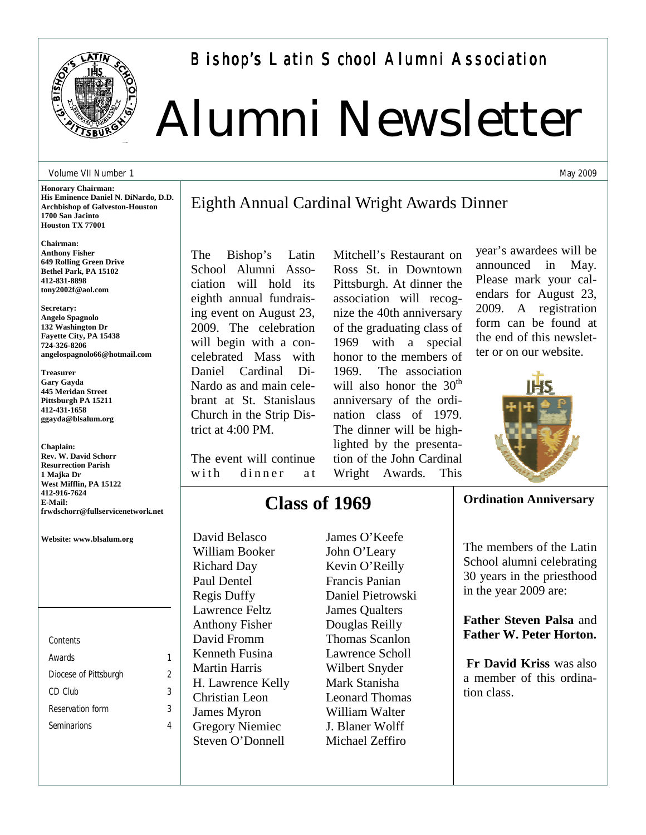

Bishop's Latin School Alumni Association

# Alumni Newsletter

Eighth Annual Cardinal Wright Awards Dinner

#### Volume VII Number 1

**Honorary Chairman: His Eminence Daniel N. DiNardo, D.D. Archbishop of Galveston-Houston 1700 San Jacinto Houston TX 77001** 

**Chairman: Anthony Fisher 649 Rolling Green Drive Bethel Park, PA 15102 412-831-8898 tony2002f@aol.com** 

**Secretary: Angelo Spagnolo 132 Washington Dr Fayette City, PA 15438 724-326-8206 angelospagnolo66@hotmail.com** 

**Treasurer Gary Gayda 445 Meridan Street Pittsburgh PA 15211 412-431-1658 ggayda@blsalum.org** 

**Chaplain: Rev. W. David Schorr Resurrection Parish 1 Majka Dr West Mifflin, PA 15122 412-916-7624 E-Mail: frwdschorr@fullservicenetwork.net** 

**Website: www.blsalum.org**

*Contents Awards 1 Diocese of Pittsburgh 2 CD Club 3 Reservation form 3 Seminarions 4*  The Bishop's Latin School Alumni Association will hold its eighth annual fundraising event on August 23, 2009. The celebration will begin with a concelebrated Mass with Daniel Cardinal Di-Nardo as and main celebrant at St. Stanislaus Church in the Strip District at 4:00 PM.

The event will continue with dinner at

**Class of 1969**

David Belasco William Booker Richard Day Paul Dentel Regis Duffy Lawrence Feltz Anthony Fisher David Fromm Kenneth Fusina Martin Harris H. Lawrence Kelly Christian Leon James Myron Gregory Niemiec Steven O'Donnell

James O'Keefe John O'Leary Kevin O'Reilly Francis Panian Daniel Pietrowski James Qualters Douglas Reilly Thomas Scanlon Lawrence Scholl Wilbert Snyder Mark Stanisha Leonard Thomas William Walter J. Blaner Wolff Michael Zeffiro

Mitchell's Restaurant on Ross St. in Downtown Pittsburgh. At dinner the association will recognize the 40th anniversary of the graduating class of 1969 with a special honor to the members of 1969. The association will also honor the  $30<sup>th</sup>$ anniversary of the ordination class of 1979. The dinner will be highlighted by the presentation of the John Cardinal Wright Awards. This

year's awardees will be announced in May. Please mark your calendars for August 23, 2009. A registration form can be found at the end of this newsletter or on our website.



#### **Ordination Anniversary**

The members of the Latin School alumni celebrating 30 years in the priesthood in the year 2009 are:

**Father Steven Palsa** and **Father W. Peter Horton.**

**Fr David Kriss** was also a member of this ordination class.

May 2009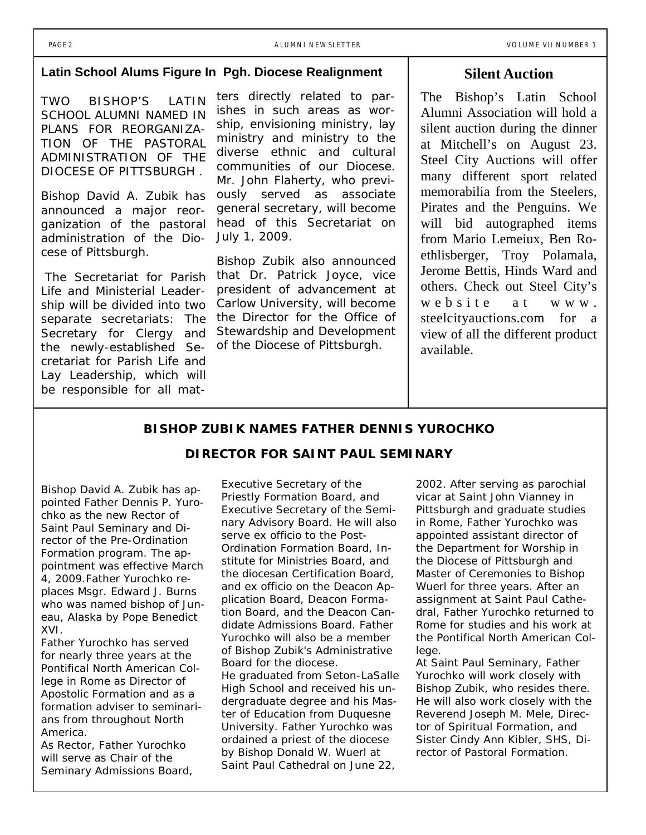## **Latin School Alums Figure In Pgh. Diocese Realignment**

TWO BISHOP'S LATIN SCHOOL ALUMNI NAMED IN PLANS FOR REORGANIZA-TION OF THE PASTORAL ADMINISTRATION OF THE DIOCESE OF PITTSBURGH .

Bishop David A. Zubik has announced a major reorganization of the pastoral administration of the Diocese of Pittsburgh.

 The Secretariat for Parish Life and Ministerial Leadership will be divided into two separate secretariats: The Secretary for Clergy and the newly-established Secretariat for Parish Life and Lay Leadership, which will be responsible for all matters directly related to parishes in such areas as worship, envisioning ministry, lay ministry and ministry to the diverse ethnic and cultural communities of our Diocese. Mr. John Flaherty, who previously served as associate general secretary, will become head of this Secretariat on July 1, 2009.

Bishop Zubik also announced that Dr. Patrick Joyce, vice president of advancement at Carlow University, will become the Director for the Office of Stewardship and Development of the Diocese of Pittsburgh.

## **Silent Auction**

The Bishop's Latin School Alumni Association will hold a silent auction during the dinner at Mitchell's on August 23. Steel City Auctions will offer many different sport related memorabilia from the Steelers, Pirates and the Penguins. We will bid autographed items from Mario Lemeiux, Ben Roethlisberger, Troy Polamala, Jerome Bettis, Hinds Ward and others. Check out Steel City's website at www. steelcityauctions.com for a view of all the different product available.

#### **BISHOP ZUBIK NAMES FATHER DENNIS YUROCHKO**

#### **DIRECTOR FOR SAINT PAUL SEMINARY**

Bishop David A. Zubik has appointed Father Dennis P. Yurochko as the new Rector of Saint Paul Seminary and Director of the Pre-Ordination Formation program. The appointment was effective March 4, 2009.Father Yurochko replaces Msgr. Edward J. Burns who was named bishop of Juneau, Alaska by Pope Benedict XVI.

Father Yurochko has served for nearly three years at the Pontifical North American College in Rome as Director of Apostolic Formation and as a formation adviser to seminarians from throughout North America.

As Rector, Father Yurochko will serve as Chair of the Seminary Admissions Board,

Executive Secretary of the Priestly Formation Board, and Executive Secretary of the Seminary Advisory Board. He will also serve *ex officio* to the Post-Ordination Formation Board, Institute for Ministries Board, and the diocesan Certification Board, and *ex officio* on the Deacon Application Board, Deacon Formation Board, and the Deacon Candidate Admissions Board. Father Yurochko will also be a member of Bishop Zubik's Administrative Board for the diocese. He graduated from Seton-LaSalle High School and received his undergraduate degree and his Master of Education from Duquesne University. Father Yurochko was

ordained a priest of the diocese by Bishop Donald W. Wuerl at Saint Paul Cathedral on June 22, 2002. After serving as parochial vicar at Saint John Vianney in Pittsburgh and graduate studies in Rome, Father Yurochko was appointed assistant director of the Department for Worship in the Diocese of Pittsburgh and Master of Ceremonies to Bishop Wuerl for three years. After an assignment at Saint Paul Cathedral, Father Yurochko returned to Rome for studies and his work at the Pontifical North American College.

At Saint Paul Seminary, Father Yurochko will work closely with Bishop Zubik, who resides there. He will also work closely with the Reverend Joseph M. Mele, Director of Spiritual Formation, and Sister Cindy Ann Kibler, SHS, Director of Pastoral Formation.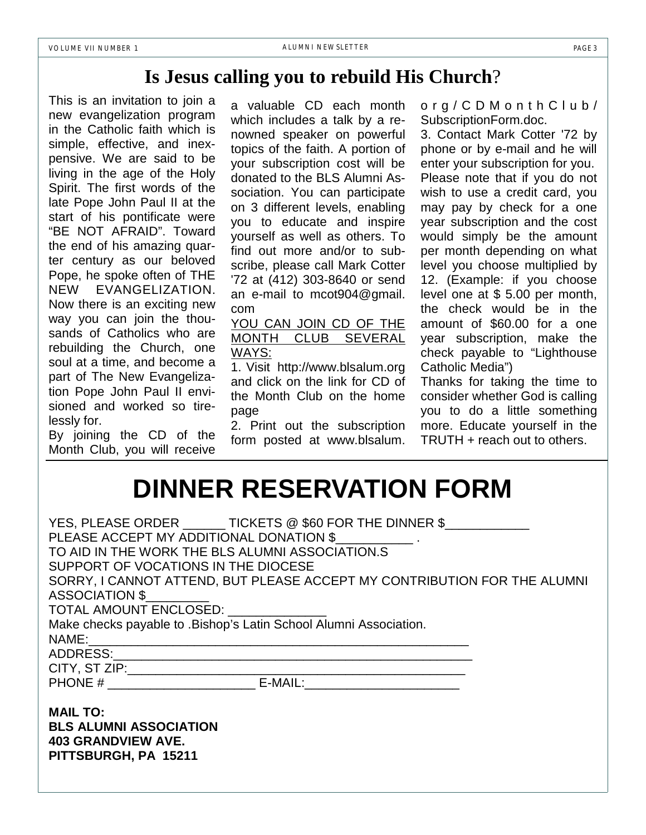## **Is Jesus calling you to rebuild His Church**?

This is an invitation to join a new evangelization program in the Catholic faith which is simple, effective, and inexpensive. We are said to be living in the age of the Holy Spirit. The first words of the late Pope John Paul II at the start of his pontificate were "BE NOT AFRAID". Toward the end of his amazing quarter century as our beloved Pope, he spoke often of THE NEW EVANGELIZATION. Now there is an exciting new way you can join the thousands of Catholics who are rebuilding the Church, one soul at a time, and become a part of The New Evangelization Pope John Paul II envisioned and worked so tirelessly for.

By joining the CD of the Month Club, you will receive

a valuable CD each month which includes a talk by a renowned speaker on powerful topics of the faith. A portion of your subscription cost will be donated to the BLS Alumni Association. You can participate on 3 different levels, enabling you to educate and inspire yourself as well as others. To find out more and/or to subscribe, please call Mark Cotter '72 at (412) 303-8640 or send an e-mail to mcot904@gmail. com

## YOU CAN JOIN CD OF THE MONTH CLUB SEVERAL WAYS:

1. Visit http://www.blsalum.org and click on the link for CD of the Month Club on the home page

2. Print out the subscription form posted at www.blsalum.

org/CDMonthClub/ SubscriptionForm.doc.

3. Contact Mark Cotter '72 by phone or by e-mail and he will enter your subscription for you. Please note that if you do not wish to use a credit card, you may pay by check for a one year subscription and the cost would simply be the amount per month depending on what level you choose multiplied by 12. (Example: if you choose level one at \$ 5.00 per month, the check would be in the amount of \$60.00 for a one year subscription, make the check payable to "Lighthouse Catholic Media")

Thanks for taking the time to consider whether God is calling you to do a little something more. Educate yourself in the TRUTH + reach out to others.

## **DINNER RESERVATION FORM**

| YES, PLEASE ORDER TICKETS @ \$60 FOR THE DINNER \$                                        |
|-------------------------------------------------------------------------------------------|
| PLEASE ACCEPT MY ADDITIONAL DONATION \$                                                   |
| TO AID IN THE WORK THE BLS ALUMNI ASSOCIATION.S                                           |
| SUPPORT OF VOCATIONS IN THE DIOCESE                                                       |
| SORRY, I CANNOT ATTEND, BUT PLEASE ACCEPT MY CONTRIBUTION FOR THE ALUMNI                  |
| ASSOCIATION \$                                                                            |
| TOTAL AMOUNT ENCLOSED: ______________                                                     |
| Make checks payable to .Bishop's Latin School Alumni Association.                         |
|                                                                                           |
|                                                                                           |
| the control of the control of the control of the control of the control of the control of |
|                                                                                           |
|                                                                                           |

**MAIL TO: BLS ALUMNI ASSOCIATION 403 GRANDVIEW AVE. PITTSBURGH, PA 15211**